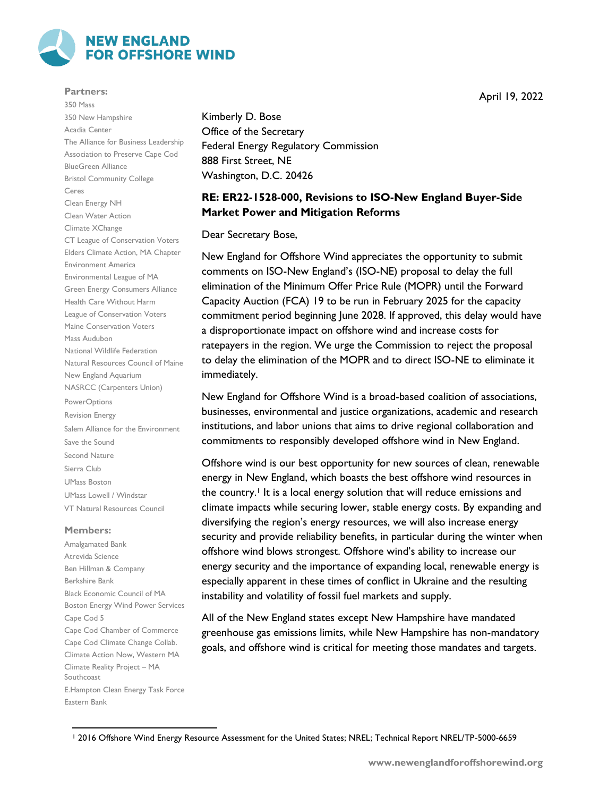

## **Partners:**

350 Mass 350 New Hampshire Acadia Center The Alliance for Business Leadership Association to Preserve Cape Cod BlueGreen Alliance Bristol Community College Ceres Clean Energy NH Clean Water Action Climate XChange CT League of Conservation Voters Elders Climate Action, MA Chapter Environment America Environmental League of MA Green Energy Consumers Alliance Health Care Without Harm League of Conservation Voters Maine Conservation Voters Mass Audubon National Wildlife Federation Natural Resources Council of Maine New England Aquarium NASRCC (Carpenters Union) PowerOptions Revision Energy Salem Alliance for the Environment Save the Sound Second Nature Sierra Club UMass Boston UMass Lowell / Windstar VT Natural Resources Council

## **Members:**

Amalgamated Bank Atrevida Science Ben Hillman & Company Berkshire Bank Black Economic Council of MA Boston Energy Wind Power Services Cape Cod 5 Cape Cod Chamber of Commerce Cape Cod Climate Change Collab. Climate Action Now, Western MA Climate Reality Project – MA Southcoast E.Hampton Clean Energy Task Force Eastern Bank

Kimberly D. Bose Office of the Secretary Federal Energy Regulatory Commission 888 First Street, NE Washington, D.C. 20426

## **RE: ER22-1528-000, Revisions to ISO-New England Buyer-Side Market Power and Mitigation Reforms**

Dear Secretary Bose,

New England for Offshore Wind appreciates the opportunity to submit comments on ISO-New England's (ISO-NE) proposal to delay the full elimination of the Minimum Offer Price Rule (MOPR) until the Forward Capacity Auction (FCA) 19 to be run in February 2025 for the capacity commitment period beginning June 2028. If approved, this delay would have a disproportionate impact on offshore wind and increase costs for ratepayers in the region. We urge the Commission to reject the proposal to delay the elimination of the MOPR and to direct ISO-NE to eliminate it immediately.

New England for Offshore Wind is a broad-based coalition of associations, businesses, environmental and justice organizations, academic and research institutions, and labor unions that aims to drive regional collaboration and commitments to responsibly developed offshore wind in New England.

Offshore wind is our best opportunity for new sources of clean, renewable energy in New England, which boasts the best offshore wind resources in the country.<sup>1</sup> It is a local energy solution that will reduce emissions and climate impacts while securing lower, stable energy costs. By expanding and diversifying the region's energy resources, we will also increase energy security and provide reliability benefits, in particular during the winter when offshore wind blows strongest. Offshore wind's ability to increase our energy security and the importance of expanding local, renewable energy is especially apparent in these times of conflict in Ukraine and the resulting instability and volatility of fossil fuel markets and supply.

All of the New England states except New Hampshire have mandated greenhouse gas emissions limits, while New Hampshire has non-mandatory goals, and offshore wind is critical for meeting those mandates and targets.

April 19, 2022

 $\overline{\phantom{a}}$ <sup>1</sup> 2016 Offshore Wind Energy Resource Assessment for the United States; NREL; Technical Report NREL/TP-5000-6659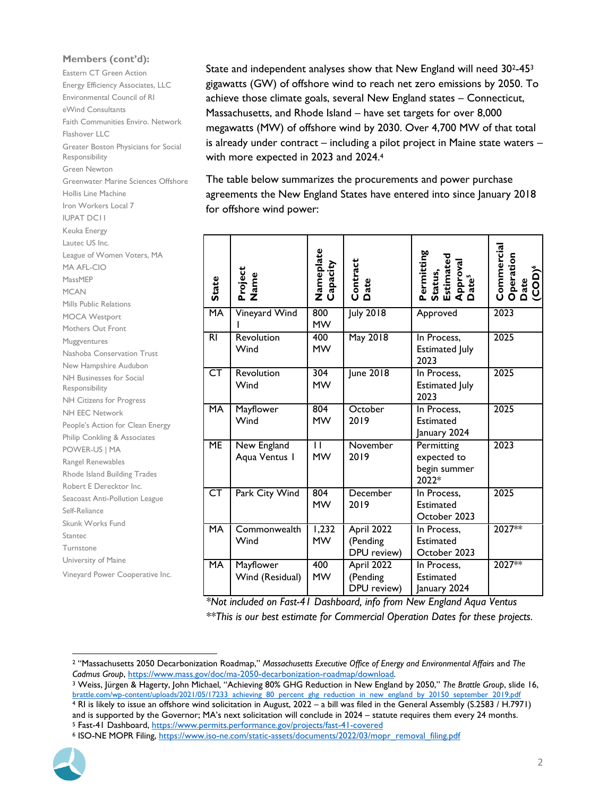## **Members (cont'd):**

Eastern CT Green Action Energy Efficiency Associates, LLC Environmental Council of RI eWind Consultants Faith Communities Enviro. Network Flashover LLC Greater Boston Physicians for Social Responsibility Green Newton Greenwater Marine Sciences Offshore Hollis Line Machine Iron Workers Local 7 IUPAT DC11 Keuka Energy Lautec US Inc. League of Women Voters, MA MA AFL-CIO MassMEP MCAN Mills Public Relations MOCA Westport Mothers Out Front Muggventures Nashoba Conservation Trust New Hampshire Audubon NH Businesses for Social Responsibility NH Citizens for Progress NH EEC Network People's Action for Clean Energy Philip Conkling & Associates POWER-US | MA Rangel Renewables Rhode Island Building Trades Robert E Derecktor Inc. Seacoast Anti-Pollution League Self-Reliance Skunk Works Fund Stantec Turnstone University of Maine Vineyard Power Cooperative Inc.

State and independent analyses show that New England will need 302-45<sup>3</sup> gigawatts (GW) of offshore wind to reach net zero emissions by 2050. To achieve those climate goals, several New England states – Connecticut, Massachusetts, and Rhode Island – have set targets for over 8,000 megawatts (MW) of offshore wind by 2030. Over 4,700 MW of that total is already under contract – including a pilot project in Maine state waters – with more expected in 2023 and 2024.<sup>4</sup>

The table below summarizes the procurements and power purchase agreements the New England States have entered into since January 2018 for offshore wind power:

| ика штегду                                                                                                                                                                                                                                                    |                          |                 |                           |                  |                                                                                 |                                                       |
|---------------------------------------------------------------------------------------------------------------------------------------------------------------------------------------------------------------------------------------------------------------|--------------------------|-----------------|---------------------------|------------------|---------------------------------------------------------------------------------|-------------------------------------------------------|
| itec US Inc.                                                                                                                                                                                                                                                  |                          |                 |                           |                  |                                                                                 |                                                       |
| gue of Women Voters, MA                                                                                                                                                                                                                                       |                          |                 |                           |                  |                                                                                 |                                                       |
| AFL-CIO                                                                                                                                                                                                                                                       |                          |                 |                           |                  |                                                                                 |                                                       |
| ssMEP                                                                                                                                                                                                                                                         |                          |                 |                           |                  |                                                                                 |                                                       |
| AN:                                                                                                                                                                                                                                                           | State                    | Project<br>Name | Nameplate<br>Capacity     | Contract<br>Date | Permitting<br>Status,<br>Estimated<br>Approval<br>Date <sup>s</sup>             | Commercial<br>Operation<br>Date<br>(COD) <sup>6</sup> |
| Is Public Relations                                                                                                                                                                                                                                           |                          |                 |                           |                  |                                                                                 |                                                       |
| <b>CA Westport</b>                                                                                                                                                                                                                                            | <b>MA</b>                | Vineyard Wind   | 800                       | <b>July 2018</b> | Approved                                                                        | 2023                                                  |
| thers Out Front                                                                                                                                                                                                                                               |                          |                 | <b>MW</b>                 |                  |                                                                                 |                                                       |
| ggventures                                                                                                                                                                                                                                                    | $\overline{R}$           | Revolution      | 400                       | May 2018         | In Process,                                                                     | 2025                                                  |
| shoba Conservation Trust                                                                                                                                                                                                                                      |                          | Wind            | <b>MW</b>                 |                  | <b>Estimated July</b>                                                           |                                                       |
| w Hampshire Audubon                                                                                                                                                                                                                                           |                          |                 |                           |                  | 2023                                                                            |                                                       |
| <b>Businesses for Social</b>                                                                                                                                                                                                                                  | $\overline{\text{CT}}$   | Revolution      | 304                       | June 2018        | In Process,                                                                     | 2025                                                  |
| sponsibility                                                                                                                                                                                                                                                  |                          | Wind            | <b>MW</b>                 |                  | <b>Estimated July</b>                                                           |                                                       |
| <b>Citizens for Progress</b>                                                                                                                                                                                                                                  |                          |                 |                           |                  | 2023                                                                            |                                                       |
| <b>I EEC Network</b>                                                                                                                                                                                                                                          | MA                       | Mayflower       | 804<br><b>MW</b>          | October<br>2019  | In Process,                                                                     | 2025                                                  |
| ople's Action for Clean Energy                                                                                                                                                                                                                                |                          | Wind            |                           |                  | <b>Estimated</b>                                                                |                                                       |
| lip Conkling & Associates                                                                                                                                                                                                                                     |                          |                 |                           |                  | January 2024                                                                    |                                                       |
| <b>WER-US   MA</b>                                                                                                                                                                                                                                            | $\overline{\mathsf{ME}}$ | New England     | $\mathbf{H}$<br><b>MW</b> | November<br>2019 | Permitting                                                                      | 2023                                                  |
| ngel Renewables                                                                                                                                                                                                                                               |                          | Aqua Ventus I   |                           |                  | expected to<br>begin summer                                                     |                                                       |
| ode Island Building Trades                                                                                                                                                                                                                                    |                          |                 |                           |                  | 2022*                                                                           |                                                       |
| bert E Derecktor Inc.                                                                                                                                                                                                                                         | $\overline{\text{CT}}$   | Park City Wind  | 804                       | December         | In Process,                                                                     | 2025                                                  |
| coast Anti-Pollution League                                                                                                                                                                                                                                   |                          |                 | <b>MW</b>                 | 2019             | Estimated                                                                       |                                                       |
| f-Reliance                                                                                                                                                                                                                                                    |                          |                 |                           |                  | October 2023                                                                    |                                                       |
| <b>Ink Works Fund</b>                                                                                                                                                                                                                                         | MA                       | Commonwealth    | 1,232                     | April 2022       | In Process,                                                                     | 2027 **                                               |
| ntec                                                                                                                                                                                                                                                          |                          | Wind            | <b>MW</b>                 | (Pending         | <b>Estimated</b>                                                                |                                                       |
| rnstone                                                                                                                                                                                                                                                       |                          |                 |                           | DPU review)      | October 2023                                                                    |                                                       |
| iversity of Maine                                                                                                                                                                                                                                             | <b>MA</b>                | Mayflower       | 400                       | April 2022       | In Process,                                                                     | $2027**$                                              |
| eyard Power Cooperative Inc.                                                                                                                                                                                                                                  |                          | Wind (Residual) | <b>MW</b>                 | (Pending         | <b>Estimated</b>                                                                |                                                       |
|                                                                                                                                                                                                                                                               |                          |                 |                           | DPU review)      | January 2024                                                                    |                                                       |
|                                                                                                                                                                                                                                                               |                          |                 |                           |                  | *Not included on Fast-41 Dashboard, info from New England Aqua Ventus           |                                                       |
|                                                                                                                                                                                                                                                               |                          |                 |                           |                  | ** This is our best estimate for Commercial Operation Dates for these projects. |                                                       |
|                                                                                                                                                                                                                                                               |                          |                 |                           |                  |                                                                                 |                                                       |
|                                                                                                                                                                                                                                                               |                          |                 |                           |                  |                                                                                 |                                                       |
|                                                                                                                                                                                                                                                               |                          |                 |                           |                  |                                                                                 |                                                       |
| <sup>2</sup> "Massachusetts 2050 Decarbonization Roadmap," Massachusetts Executive Office of Energy and Environmental Affairs and The                                                                                                                         |                          |                 |                           |                  |                                                                                 |                                                       |
| Cadmus Group, https://www.mass.gov/doc/ma-2050-decarbonization-roadmap/download.                                                                                                                                                                              |                          |                 |                           |                  |                                                                                 |                                                       |
| <sup>3</sup> Weiss, Jürgen & Hagerty, John Michael, "Achieving 80% GHG Reduction in New England by 2050," The Brattle Group, slide 16,                                                                                                                        |                          |                 |                           |                  |                                                                                 |                                                       |
| brattle.com/wp-content/uploads/2021/05/17233 achieving 80 percent ghg reduction in new england by 20150 september 2019.pdf                                                                                                                                    |                          |                 |                           |                  |                                                                                 |                                                       |
| 4 RI is likely to issue an offshore wind solicitation in August, 2022 – a bill was filed in the General Assembly (S.2583 / H.7971)<br>and is supported by the Governor; MA's next solicitation will conclude in 2024 – statute requires them every 24 months. |                          |                 |                           |                  |                                                                                 |                                                       |
| <sup>5</sup> Fast-41 Dashboard, https://www.permits.performance.gov/projects/fast-41-covered                                                                                                                                                                  |                          |                 |                           |                  |                                                                                 |                                                       |
| 6 ISO-NE MOPR Filing, https://www.iso-ne.com/static-assets/documents/2022/03/mopr removal filing.pdf                                                                                                                                                          |                          |                 |                           |                  |                                                                                 |                                                       |



 $\overline{\phantom{a}}$ <sup>2</sup> "Massachusetts 2050 Decarbonization Roadmap," *Massachusetts Executive Office of Energy and Environmental Affairs* and *The Cadmus Group*, [https://www.mass.gov/doc/ma-2050-decarbonization-roadmap/download.](https://www.mass.gov/doc/ma-2050-decarbonization-roadmap/download)

<sup>3</sup> Weiss, Jürgen & Hagerty, John Michael, "Achieving 80% GHG Reduction in New England by 2050," *The Brattle Group*, slide 16, [brattle.com/wp-content/uploads/2021/05/17233\\_achieving\\_80\\_percent\\_ghg\\_reduction\\_in\\_new\\_england\\_by\\_20150\\_september\\_2019.pdf](https://www.brattle.com/wp-content/uploads/2021/05/17233_achieving_80_percent_ghg_reduction_in_new_england_by_20150_september_2019.pdf) <sup>4</sup> RI is likely to issue an offshore wind solicitation in August, 2022 – a bill was filed in the General Assembly (S.2583 / H.7971)

and is supported by the Governor; MA's next solicitation will conclude in 2024 – statute requires them every 24 months. <sup>5</sup> Fast-41 Dashboard,<https://www.permits.performance.gov/projects/fast-41-covered>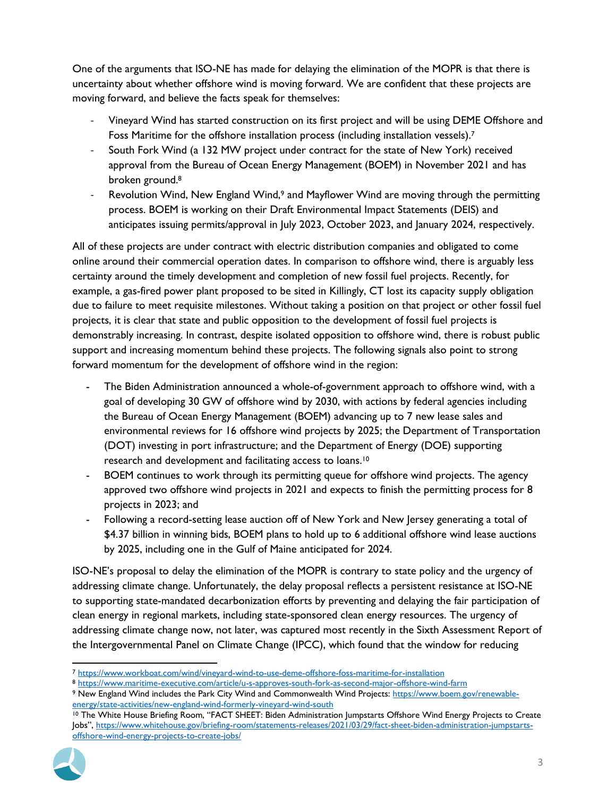One of the arguments that ISO-NE has made for delaying the elimination of the MOPR is that there is uncertainty about whether offshore wind is moving forward. We are confident that these projects are moving forward, and believe the facts speak for themselves:

- Vineyard Wind has started construction on its first project and will be using DEME Offshore and Foss Maritime for the offshore installation process (including installation vessels).<sup>7</sup>
- South Fork Wind (a 132 MW project under contract for the state of New York) received approval from the Bureau of Ocean Energy Management (BOEM) in November 2021 and has broken ground. 8
- Revolution Wind, New England Wind,<sup>9</sup> and Mayflower Wind are moving through the permitting process. BOEM is working on their Draft Environmental Impact Statements (DEIS) and anticipates issuing permits/approval in July 2023, October 2023, and January 2024, respectively.

All of these projects are under contract with electric distribution companies and obligated to come online around their commercial operation dates. In comparison to offshore wind, there is arguably less certainty around the timely development and completion of new fossil fuel projects. Recently, for example, a gas-fired power plant proposed to be sited in Killingly, CT lost its capacity supply obligation due to failure to meet requisite milestones. Without taking a position on that project or other fossil fuel projects, it is clear that state and public opposition to the development of fossil fuel projects is demonstrably increasing. In contrast, despite isolated opposition to offshore wind, there is robust public support and increasing momentum behind these projects. The following signals also point to strong forward momentum for the development of offshore wind in the region:

- The Biden Administration announced a whole-of-government approach to offshore wind, with a goal of developing 30 GW of offshore wind by 2030, with actions by federal agencies including the Bureau of Ocean Energy Management (BOEM) advancing up to 7 new lease sales and environmental reviews for 16 offshore wind projects by 2025; the Department of Transportation (DOT) investing in port infrastructure; and the Department of Energy (DOE) supporting research and development and facilitating access to loans.<sup>10</sup>
- BOEM continues to work through its permitting queue for offshore wind projects. The agency approved two offshore wind projects in 2021 and expects to finish the permitting process for 8 projects in 2023; and
- Following a record-setting lease auction off of New York and New Jersey generating a total of \$4.37 billion in winning bids, BOEM plans to hold up to 6 additional offshore wind lease auctions by 2025, including one in the Gulf of Maine anticipated for 2024.

ISO-NE's proposal to delay the elimination of the MOPR is contrary to state policy and the urgency of addressing climate change. Unfortunately, the delay proposal reflects a persistent resistance at ISO-NE to supporting state-mandated decarbonization efforts by preventing and delaying the fair participation of clean energy in regional markets, including state-sponsored clean energy resources. The urgency of addressing climate change now, not later, was captured most recently in the Sixth Assessment Report of the Intergovernmental Panel on Climate Change (IPCC), which found that the window for reducing

<sup>8</sup> <https://www.maritime-executive.com/article/u-s-approves-south-fork-as-second-major-offshore-wind-farm>

<sup>10</sup> The White House Briefing Room, "FACT SHEET: Biden Administration Jumpstarts Offshore Wind Energy Projects to Create Jobs", [https://www.whitehouse.gov/briefing-room/statements-releases/2021/03/29/fact-sheet-biden-administration-jumpstarts](https://www.whitehouse.gov/briefing-room/statements-releases/2021/03/29/fact-sheet-biden-administration-jumpstarts-offshore-wind-energy-projects-to-create-jobs/)[offshore-wind-energy-projects-to-create-jobs/](https://www.whitehouse.gov/briefing-room/statements-releases/2021/03/29/fact-sheet-biden-administration-jumpstarts-offshore-wind-energy-projects-to-create-jobs/)



 $\overline{\phantom{a}}$ <sup>7</sup> <https://www.workboat.com/wind/vineyard-wind-to-use-deme-offshore-foss-maritime-for-installation>

<sup>9</sup> New England Wind includes the Park City Wind and Commonwealth Wind Projects: [https://www.boem.gov/renewable](https://www.boem.gov/renewable-energy/state-activities/new-england-wind-formerly-vineyard-wind-south)[energy/state-activities/new-england-wind-formerly-vineyard-wind-south](https://www.boem.gov/renewable-energy/state-activities/new-england-wind-formerly-vineyard-wind-south)